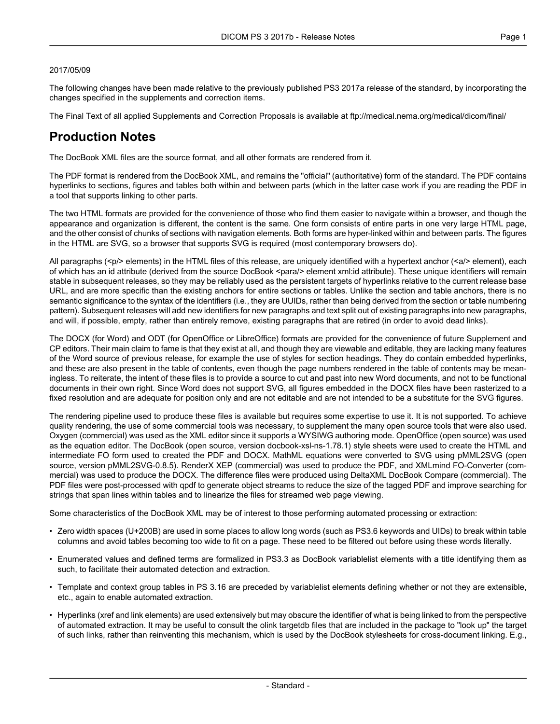#### 2017/05/09

The following changes have been made relative to the previously published PS3 2017a release of the standard, by incorporating the changes specified in the supplements and correction items.

The Final Text of all applied Supplements and Correction Proposals is available at <ftp://medical.nema.org/medical/dicom/final/>

# **Production Notes**

The DocBook XML files are the source format, and all other formats are rendered from it.

The PDF format is rendered from the DocBook XML, and remains the "official" (authoritative) form of the standard. The PDF contains hyperlinks to sections, figures and tables both within and between parts (which in the latter case work if you are reading the PDF in a tool that supports linking to other parts.

The two HTML formats are provided for the convenience of those who find them easier to navigate within a browser, and though the appearance and organization is different, the content is the same. One form consists of entire parts in one very large HTML page, and the other consist of chunks of sections with navigation elements. Both forms are hyper-linked within and between parts. The figures in the HTML are SVG, so a browser that supports SVG is required (most contemporary browsers do).

All paragraphs (<p/> elements) in the HTML files of this release, are uniquely identified with a hypertext anchor (<a/><a/>> element), each of which has an id attribute (derived from the source DocBook <para/> element xml:id attribute). These unique identifiers will remain stable in subsequent releases, so they may be reliably used as the persistent targets of hyperlinks relative to the current release base URL, and are more specific than the existing anchors for entire sections or tables. Unlike the section and table anchors, there is no semantic significance to the syntax of the identifiers (i.e., they are UUIDs, rather than being derived from the section or table numbering pattern). Subsequent releases will add new identifiers for new paragraphs and text split out of existing paragraphs into new paragraphs, and will, if possible, empty, rather than entirely remove, existing paragraphs that are retired (in order to avoid dead links).

The DOCX (for Word) and ODT (for OpenOffice or LibreOffice) formats are provided for the convenience of future Supplement and CP editors. Their main claim to fame is that they exist at all, and though they are viewable and editable, they are lacking many features of the Word source of previous release, for example the use of styles for section headings. They do contain embedded hyperlinks, and these are also present in the table of contents, even though the page numbers rendered in the table of contents may be mean ingless. To reiterate, the intent of these files is to provide a source to cut and past into new Word documents, and not to be functional documents in their own right. Since Word does not support SVG, all figures embedded in the DOCX files have been rasterized to a fixed resolution and are adequate for position only and are not editable and are not intended to be a substitute for the SVG figures.

The rendering pipeline used to produce these files is available but requires some expertise to use it. It is not supported. To achieve quality rendering, the use of some commercial tools was necessary, to supplement the many open source tools that were also used. Oxygen (commercial) was used as the XML editor since it supports a WYSIWG authoring mode. OpenOffice (open source) was used as the equation editor. The DocBook (open source, version docbook-xsl-ns-1.78.1) style sheets were used to create the HTML and intermediate FO form used to created the PDF and DOCX. MathML equations were converted to SVG using pMML2SVG (open source, version pMML2SVG-0.8.5). RenderX XEP (commercial) was used to produce the PDF, and XMLmind FO-Converter (com mercial) was used to produce the DOCX. The difference files were produced using DeltaXML DocBook Compare (commercial). The PDF files were post-processed with qpdf to generate object streams to reduce the size of the tagged PDF and improve searching for strings that span lines within tables and to linearize the files for streamed web page viewing.

Some characteristics of the DocBook XML may be of interest to those performing automated processing or extraction:

- Zero width spaces (U+200B) are used in some places to allow long words (such as PS3.6 keywords and UIDs) to break within table columns and avoid tables becoming too wide to fit on a page. These need to be filtered out before using these words literally.
- Enumerated values and defined terms are formalized in PS3.3 as DocBook variablelist elements with a title identifying them as such, to facilitate their automated detection and extraction.
- Template and context group tables in PS 3.16 are preceded by variablelist elements defining whether or not they are extensible, etc., again to enable automated extraction.
- Hyperlinks (xref and link elements) are used extensively but may obscure the identifier of what is being linked to from the perspective of automated extraction. It may be useful to consult the olink targetdb files that are included in the package to "look up" the target of such links, rather than reinventing this mechanism, which is used by the DocBook stylesheets for cross-document linking. E.g.,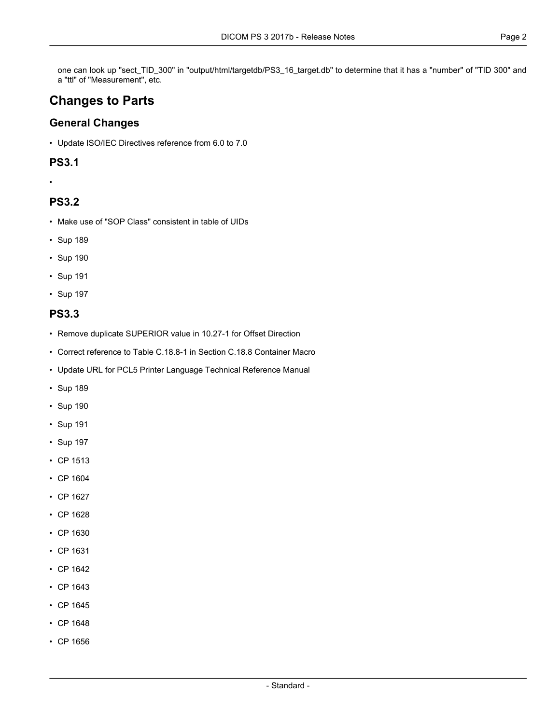one can look up "sect\_TID\_300" in "output/html/targetdb/PS3\_16\_target.db" to determine that it has a "number" of "TID 300" and a "ttl" of "Measurement", etc.

# **Changes to Parts**

# **General Changes**

• Update ISO/IEC Directives reference from 6.0 to 7.0

### **PS3.1**

•

# **PS3.2**

- Make use of "SOP Class" consistent in table of UIDs
- [Sup](#page-4-0) 189
- [Sup](#page-4-1) 190
- [Sup](#page-4-2) 191
- [Sup](#page-4-3) 197

### **PS3.3**

- Remove duplicate SUPERIOR value in 10.27-1 for Offset Direction
- Correct reference to Table C.18.8-1 in Section C.18.8 Container Macro
- Update URL for PCL5 Printer Language Technical Reference Manual
- [Sup](#page-4-0) 189
- [Sup](#page-4-1) 190
- [Sup](#page-4-2) 191
- [Sup](#page-4-3) 197
- CP [1513](#page-4-4)
- CP [1604](#page-4-5)
- CP [1627](#page-4-6)
- CP [1628](#page-4-7)
- CP [1630](#page-4-8)
- CP [1631](#page-4-9)
- CP [1642](#page-4-10)
- CP [1643](#page-4-11)
- CP [1645](#page-4-12)
- CP [1648](#page-4-13)
- CP [1656](#page-5-0)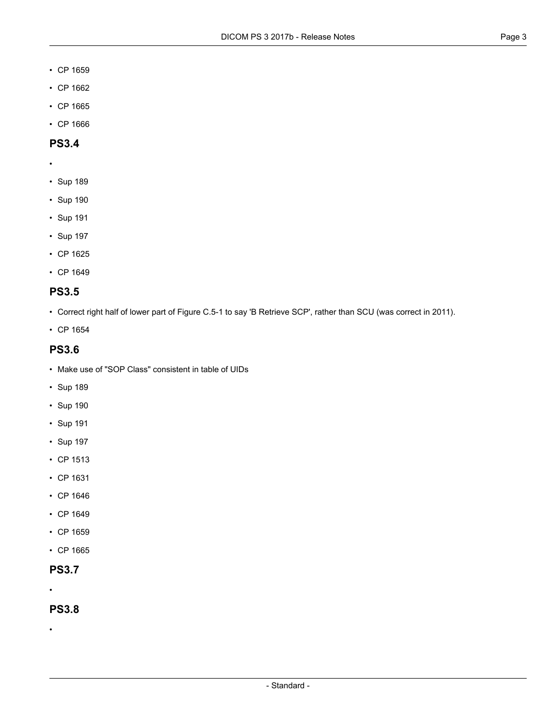- CP [1659](#page-5-1)
- CP [1662](#page-5-2)
- CP [1665](#page-5-3)
- CP [1666](#page-5-4)

### **PS3.4**

- •
- [Sup](#page-4-0) 189
- [Sup](#page-4-1) 190
- [Sup](#page-4-2) 191
- [Sup](#page-4-3) 197
- CP [1625](#page-4-14)
- CP [1649](#page-4-15)

# **PS3.5**

- Correct right half of lower part of Figure C.5-1 to say 'B Retrieve SCP', rather than SCU (was correct in 2011).
- CP [1654](#page-5-5)

### **PS3.6**

- Make use of "SOP Class" consistent in table of UIDs
- [Sup](#page-4-0) 189
- [Sup](#page-4-1) 190
- [Sup](#page-4-2) 191
- [Sup](#page-4-3) 197
- CP [1513](#page-4-4)
- CP [1631](#page-4-9)
- CP [1646](#page-4-16)
- CP [1649](#page-4-15)
- CP [1659](#page-5-1)
- CP [1665](#page-5-3)

# **PS3.7**

•

#### **PS3.8**

•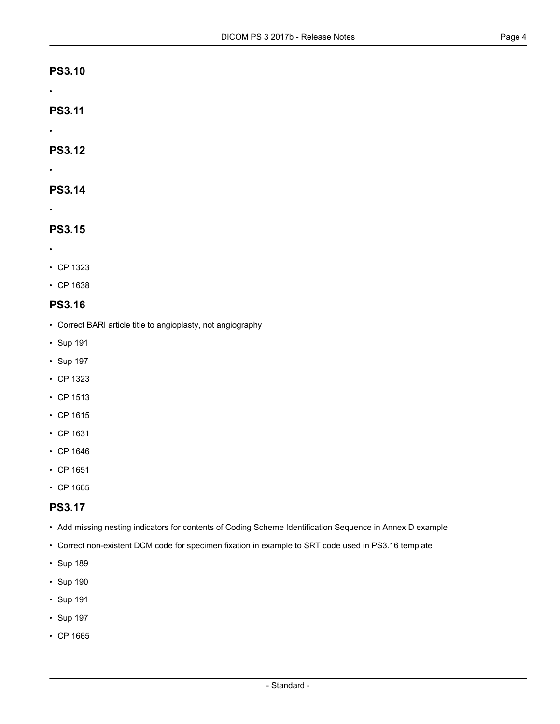- •
- **PS3.11**
- •

•

**PS3.12**

# **PS3.14**

•

# **PS3.15**

- •
- CP [1323](#page-4-17)
- CP [1638](#page-4-18)

# **PS3.16**

- Correct BARI article title to angioplasty, not angiography
- [Sup](#page-4-2) 191
- [Sup](#page-4-3) 197
- CP [1323](#page-4-17)
- CP [1513](#page-4-4)
- CP [1615](#page-4-19)
- CP [1631](#page-4-9)
- CP [1646](#page-4-16)
- CP [1651](#page-4-20)
- CP [1665](#page-5-3)

# **PS3.17**

- Add missing nesting indicators for contents of Coding Scheme Identification Sequence in Annex D example
- Correct non-existent DCM code for specimen fixation in example to SRT code used in PS3.16 template
- [Sup](#page-4-0) 189
- [Sup](#page-4-1) 190
- [Sup](#page-4-2) 191
- [Sup](#page-4-3) 197
- CP [1665](#page-5-3)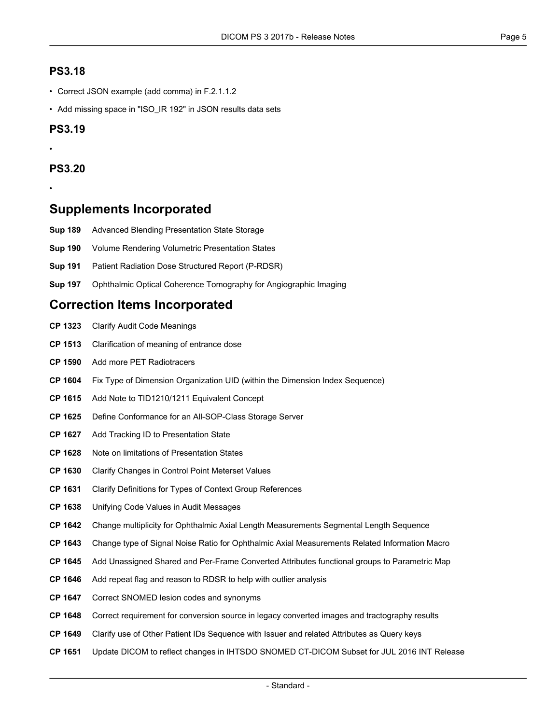### **PS3.18**

- Correct JSON example (add comma) in F.2.1.1.2
- Add missing space in "ISO\_IR 192" in JSON results data sets

#### **PS3.19**

# **PS3.20**

•

•

# <span id="page-4-0"></span>**Supplements Incorporated**

- <span id="page-4-1"></span>**[Sup](ftp://medical.nema.org/medical/dicom/final/sup189_ft.pdf) 189** Advanced Blending Presentation State Storage
- <span id="page-4-3"></span><span id="page-4-2"></span>**[Sup](ftp://medical.nema.org/medical/dicom/final/sup190_ft.pdf) 190** Volume Rendering Volumetric Presentation States
- **[Sup](ftp://medical.nema.org/medical/dicom/final/sup191_ft.pdf) 191** Patient Radiation Dose Structured Report (P-RDSR)
- **[Sup](ftp://medical.nema.org/medical/dicom/final/sup197_ft.pdf) 197** Ophthalmic Optical Coherence Tomography for Angiographic Imaging

# <span id="page-4-17"></span><span id="page-4-4"></span>**Correction Items Incorporated**

- **CP [1323](ftp://medical.nema.org/medical/dicom/final/cp1323_ft_clarify_audit-codes.pdf)** Clarify Audit Code Meanings
- <span id="page-4-5"></span>**CP [1513](ftp://medical.nema.org/medical/dicom/final/cp1513.pdf)** Clarification of meaning of entrance dose
- <span id="page-4-19"></span>**CP [1590](ftp://medical.nema.org/medical/dicom/final/cp1590_ft_addPETRadiotracers.pdf)** Add more PET Radiotracers
- <span id="page-4-14"></span>**CP [1604](ftp://medical.nema.org/medical/dicom/final/cp1604_ft_fix_type_of_dimension_organization_uid.pdf)** Fix Type of Dimension Organization UID (within the Dimension Index Sequence)
- <span id="page-4-6"></span>**CP [1615](ftp://medical.nema.org/medical/dicom/final/cp1615_ft_EquivalentConceptCode.pdf)** Add Note to TID1210/1211 Equivalent Concept
- <span id="page-4-8"></span><span id="page-4-7"></span>**CP [1625](ftp://medical.nema.org/medical/dicom/final/cp1625_ft_ArchiveConformance.pdf)** Define Conformance for an All-SOP-Class Storage Server
- <span id="page-4-9"></span>**CP [1627](ftp://medical.nema.org/medical/dicom/final/cp1627_ft_TrackingIDinPresentationState.pdf)** Add Tracking ID to Presentation State
- <span id="page-4-18"></span>**CP [1628](ftp://medical.nema.org/medical/dicom/final/cp1628_ft_PresentationStateLimitation.pdf)** Note on limitations of Presentation States
- <span id="page-4-10"></span>**CP [1630](ftp://medical.nema.org/medical/dicom/final/cp1630_ft_ClarifyChangesInControlPointMetersetValues.pdf)** Clarify Changes in Control Point Meterset Values
- <span id="page-4-11"></span>**CP [1631](ftp://medical.nema.org/medical/dicom/final/cp1631_ft_ClarifyDefinitionsForTypesOfContextGroupReferences.pdf)** Clarify Definitions for Types of Context Group References
- <span id="page-4-12"></span>**CP [1638](ftp://medical.nema.org/medical/dicom/final/cp1638_ft_UnifyingCodeValuesInAuditMessages.pdf)** Unifying Code Values in Audit Messages
- <span id="page-4-16"></span>**CP [1642](ftp://medical.nema.org/medical/dicom/final/cp1642_ft_ChgMultOAMSegLenSeq.pdf)** Change multiplicity for Ophthalmic Axial Length Measurements Segmental Length Sequence
- **CP [1643](ftp://medical.nema.org/medical/dicom/final/cp1643_ft_ChgTypeSNRforOAM.pdf)** Change type of Signal Noise Ratio for Ophthalmic Axial Measurements Related Information Macro
- <span id="page-4-13"></span>**CP [1645](ftp://medical.nema.org/medical/dicom/final/cp1645_ft_parametricmapunassignedattributes.pdf)** Add Unassigned Shared and Per-Frame Converted Attributes functional groups to Parametric Map
- <span id="page-4-20"></span><span id="page-4-15"></span>**CP [1646](ftp://medical.nema.org/medical/dicom/final/cp1646_ft_rdsrrepeatflag.pdf)** Add repeat flag and reason to RDSR to help with outlier analysis
- **CP [1647](ftp://medical.nema.org/medical/dicom/final/cp1647_ft_lesioncodes.pdf)** Correct SNOMED lesion codes and synonyms
- **CP [1648](ftp://medical.nema.org/medical/dicom/final/cp1648_ft_conversionsourcecondition.pdf)** Correct requirement for conversion source in legacy converted images and tractography results
- **CP [1649](ftp://medical.nema.org/medical/dicom/final/cp1649_ft_queryotherpatientidssequence.pdf)** Clarify use of Other Patient IDs Sequence with Issuer and related Attributes as Query keys
- **CP [1651](ftp://medical.nema.org/medical/dicom/final/cp1651_ft_ihtsdoJul2016INTreleaseupdate.pdf)** Update DICOM to reflect changes in IHTSDO SNOMED CT-DICOM Subset for JUL 2016 INT Release